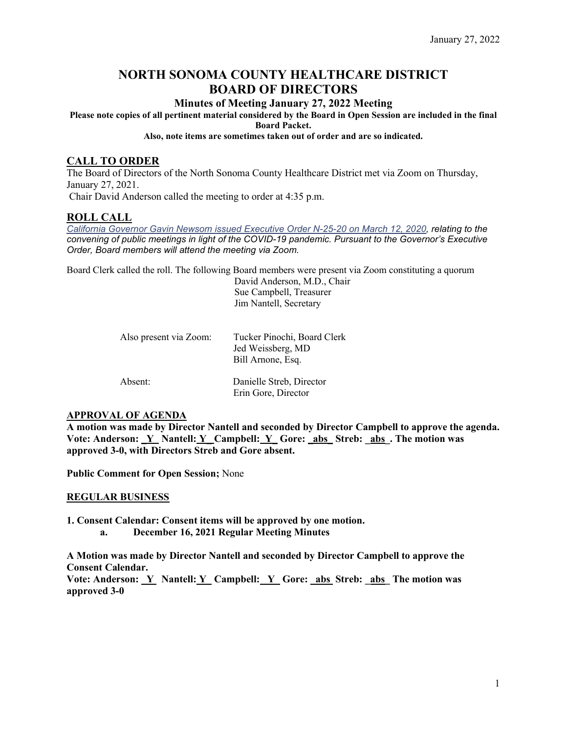# **NORTH SONOMA COUNTY HEALTHCARE DISTRICT BOARD OF DIRECTORS**

# **Minutes of Meeting January 27, 2022 Meeting**

**Please note copies of all pertinent material considered by the Board in Open Session are included in the final Board Packet.** 

#### **Also, note items are sometimes taken out of order and are so indicated.**

# **CALL TO ORDER**

The Board of Directors of the North Sonoma County Healthcare District met via Zoom on Thursday, January 27, 2021. Chair David Anderson called the meeting to order at 4:35 p.m.

## **ROLL CALL**

*[California Governor Gavin Newsom issued Executive Order N-25-20 on March 12, 2020,](https://www.gov.ca.gov/2020/03/12/governor-newsom-issues-new-executive-order-further-enhancing-state-and-local-governments-ability-to-respond-to-covid-19-pandemic/) relating to the convening of public meetings in light of the COVID-19 pandemic. Pursuant to the Governor's Executive Order, Board members will attend the meeting via Zoom.*

Board Clerk called the roll. The following Board members were present via Zoom constituting a quorum

 David Anderson, M.D., Chair Sue Campbell, Treasurer Jim Nantell, Secretary

| Also present via Zoom: | Tucker Pinochi, Board Clerk<br>Jed Weissberg, MD<br>Bill Arnone, Esq. |
|------------------------|-----------------------------------------------------------------------|
| Absent:                | Danielle Streb, Director<br>Erin Gore, Director                       |

#### **APPROVAL OF AGENDA**

**A motion was made by Director Nantell and seconded by Director Campbell to approve the agenda.** Vote: Anderson: Y\_ Nantell: Y\_ Campbell: Y\_ Gore: \_abs\_Streb: \_abs\_. The motion was **approved 3-0, with Directors Streb and Gore absent.** 

**Public Comment for Open Session;** None

#### **REGULAR BUSINESS**

**1. Consent Calendar: Consent items will be approved by one motion. a. December 16, 2021 Regular Meeting Minutes**

**A Motion was made by Director Nantell and seconded by Director Campbell to approve the Consent Calendar.**

**Vote: Anderson: \_Y Nantell: Y\_ Campbell: \_Y\_ Gore: \_abs Streb: \_abs\_ The motion was approved 3-0**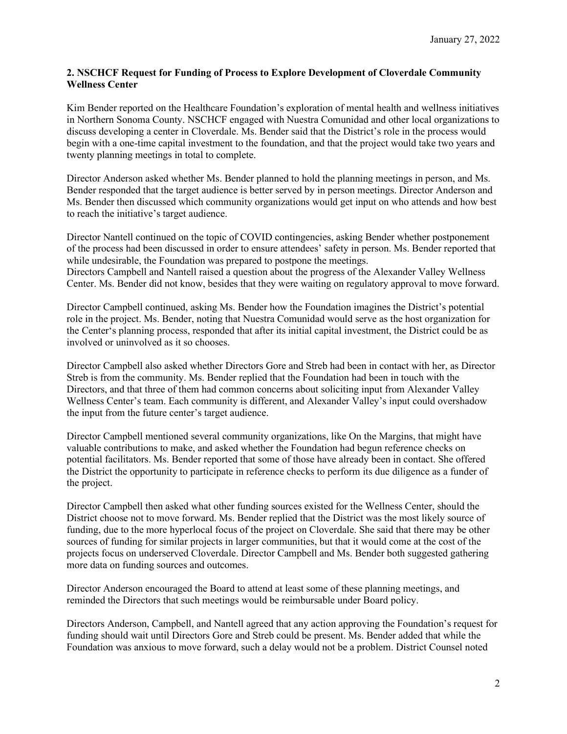## **2. NSCHCF Request for Funding of Process to Explore Development of Cloverdale Community Wellness Center**

Kim Bender reported on the Healthcare Foundation's exploration of mental health and wellness initiatives in Northern Sonoma County. NSCHCF engaged with Nuestra Comunidad and other local organizations to discuss developing a center in Cloverdale. Ms. Bender said that the District's role in the process would begin with a one-time capital investment to the foundation, and that the project would take two years and twenty planning meetings in total to complete.

Director Anderson asked whether Ms. Bender planned to hold the planning meetings in person, and Ms. Bender responded that the target audience is better served by in person meetings. Director Anderson and Ms. Bender then discussed which community organizations would get input on who attends and how best to reach the initiative's target audience.

Director Nantell continued on the topic of COVID contingencies, asking Bender whether postponement of the process had been discussed in order to ensure attendees' safety in person. Ms. Bender reported that while undesirable, the Foundation was prepared to postpone the meetings. Directors Campbell and Nantell raised a question about the progress of the Alexander Valley Wellness Center. Ms. Bender did not know, besides that they were waiting on regulatory approval to move forward.

Director Campbell continued, asking Ms. Bender how the Foundation imagines the District's potential role in the project. Ms. Bender, noting that Nuestra Comunidad would serve as the host organization for the Center's planning process, responded that after its initial capital investment, the District could be as involved or uninvolved as it so chooses.

Director Campbell also asked whether Directors Gore and Streb had been in contact with her, as Director Streb is from the community. Ms. Bender replied that the Foundation had been in touch with the Directors, and that three of them had common concerns about soliciting input from Alexander Valley Wellness Center's team. Each community is different, and Alexander Valley's input could overshadow the input from the future center's target audience.

Director Campbell mentioned several community organizations, like On the Margins, that might have valuable contributions to make, and asked whether the Foundation had begun reference checks on potential facilitators. Ms. Bender reported that some of those have already been in contact. She offered the District the opportunity to participate in reference checks to perform its due diligence as a funder of the project.

Director Campbell then asked what other funding sources existed for the Wellness Center, should the District choose not to move forward. Ms. Bender replied that the District was the most likely source of funding, due to the more hyperlocal focus of the project on Cloverdale. She said that there may be other sources of funding for similar projects in larger communities, but that it would come at the cost of the projects focus on underserved Cloverdale. Director Campbell and Ms. Bender both suggested gathering more data on funding sources and outcomes.

Director Anderson encouraged the Board to attend at least some of these planning meetings, and reminded the Directors that such meetings would be reimbursable under Board policy.

Directors Anderson, Campbell, and Nantell agreed that any action approving the Foundation's request for funding should wait until Directors Gore and Streb could be present. Ms. Bender added that while the Foundation was anxious to move forward, such a delay would not be a problem. District Counsel noted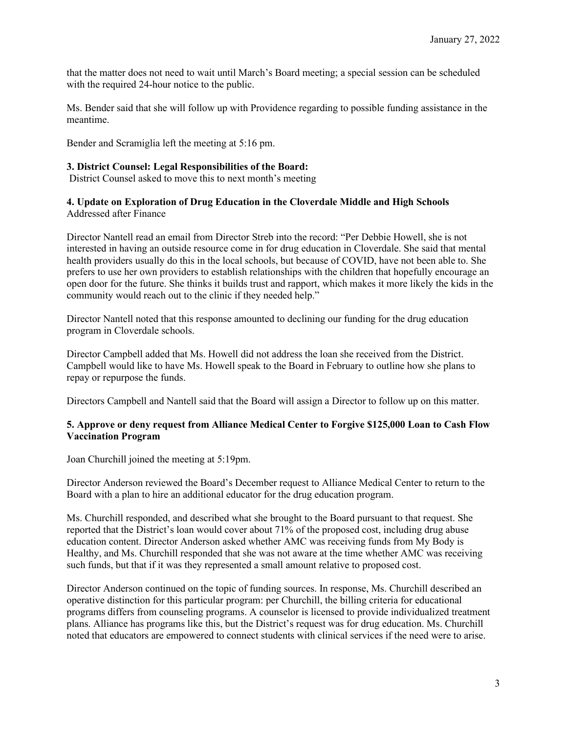that the matter does not need to wait until March's Board meeting; a special session can be scheduled with the required 24-hour notice to the public.

Ms. Bender said that she will follow up with Providence regarding to possible funding assistance in the meantime.

Bender and Scramiglia left the meeting at 5:16 pm.

#### **3. District Counsel: Legal Responsibilities of the Board:**

District Counsel asked to move this to next month's meeting

## **4. Update on Exploration of Drug Education in the Cloverdale Middle and High Schools** Addressed after Finance

Director Nantell read an email from Director Streb into the record: "Per Debbie Howell, she is not interested in having an outside resource come in for drug education in Cloverdale. She said that mental health providers usually do this in the local schools, but because of COVID, have not been able to. She prefers to use her own providers to establish relationships with the children that hopefully encourage an open door for the future. She thinks it builds trust and rapport, which makes it more likely the kids in the community would reach out to the clinic if they needed help."

Director Nantell noted that this response amounted to declining our funding for the drug education program in Cloverdale schools.

Director Campbell added that Ms. Howell did not address the loan she received from the District. Campbell would like to have Ms. Howell speak to the Board in February to outline how she plans to repay or repurpose the funds.

Directors Campbell and Nantell said that the Board will assign a Director to follow up on this matter.

#### **5. Approve or deny request from Alliance Medical Center to Forgive \$125,000 Loan to Cash Flow Vaccination Program**

Joan Churchill joined the meeting at 5:19pm.

Director Anderson reviewed the Board's December request to Alliance Medical Center to return to the Board with a plan to hire an additional educator for the drug education program.

Ms. Churchill responded, and described what she brought to the Board pursuant to that request. She reported that the District's loan would cover about 71% of the proposed cost, including drug abuse education content. Director Anderson asked whether AMC was receiving funds from My Body is Healthy, and Ms. Churchill responded that she was not aware at the time whether AMC was receiving such funds, but that if it was they represented a small amount relative to proposed cost.

Director Anderson continued on the topic of funding sources. In response, Ms. Churchill described an operative distinction for this particular program: per Churchill, the billing criteria for educational programs differs from counseling programs. A counselor is licensed to provide individualized treatment plans. Alliance has programs like this, but the District's request was for drug education. Ms. Churchill noted that educators are empowered to connect students with clinical services if the need were to arise.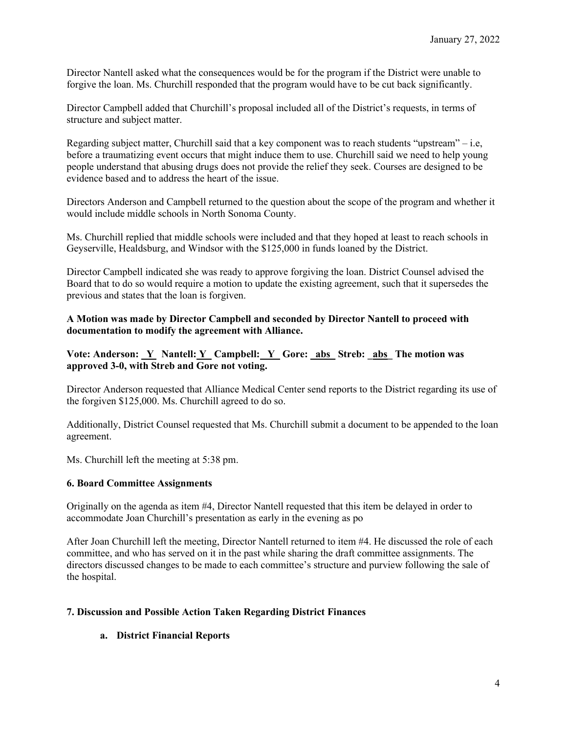Director Nantell asked what the consequences would be for the program if the District were unable to forgive the loan. Ms. Churchill responded that the program would have to be cut back significantly.

Director Campbell added that Churchill's proposal included all of the District's requests, in terms of structure and subject matter.

Regarding subject matter, Churchill said that a key component was to reach students "upstream" – i.e, before a traumatizing event occurs that might induce them to use. Churchill said we need to help young people understand that abusing drugs does not provide the relief they seek. Courses are designed to be evidence based and to address the heart of the issue.

Directors Anderson and Campbell returned to the question about the scope of the program and whether it would include middle schools in North Sonoma County.

Ms. Churchill replied that middle schools were included and that they hoped at least to reach schools in Geyserville, Healdsburg, and Windsor with the \$125,000 in funds loaned by the District.

Director Campbell indicated she was ready to approve forgiving the loan. District Counsel advised the Board that to do so would require a motion to update the existing agreement, such that it supersedes the previous and states that the loan is forgiven.

## **A Motion was made by Director Campbell and seconded by Director Nantell to proceed with documentation to modify the agreement with Alliance.**

## **Vote: Anderson: \_Y Nantell: Y\_ Campbell: \_Y\_ Gore: \_abs\_ Streb: \_abs\_ The motion was approved 3-0, with Streb and Gore not voting.**

Director Anderson requested that Alliance Medical Center send reports to the District regarding its use of the forgiven \$125,000. Ms. Churchill agreed to do so.

Additionally, District Counsel requested that Ms. Churchill submit a document to be appended to the loan agreement.

Ms. Churchill left the meeting at 5:38 pm.

#### **6. Board Committee Assignments**

Originally on the agenda as item #4, Director Nantell requested that this item be delayed in order to accommodate Joan Churchill's presentation as early in the evening as po

After Joan Churchill left the meeting, Director Nantell returned to item #4. He discussed the role of each committee, and who has served on it in the past while sharing the draft committee assignments. The directors discussed changes to be made to each committee's structure and purview following the sale of the hospital.

#### **7. Discussion and Possible Action Taken Regarding District Finances**

#### **a. District Financial Reports**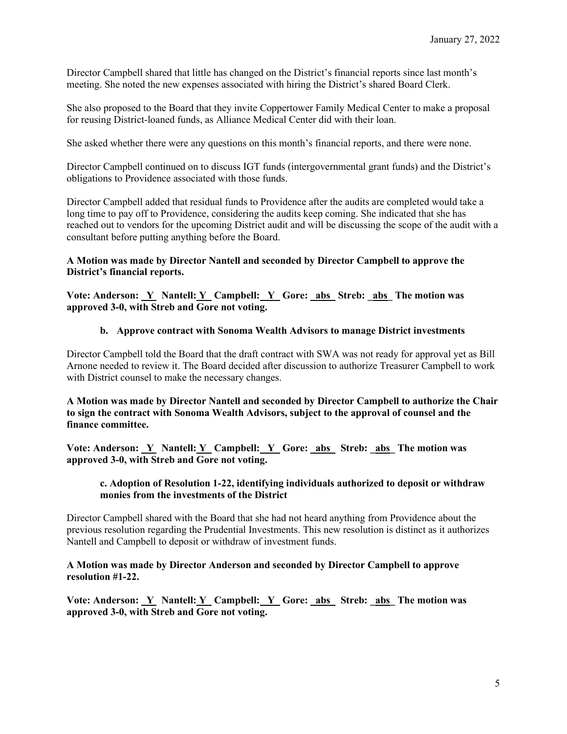Director Campbell shared that little has changed on the District's financial reports since last month's meeting. She noted the new expenses associated with hiring the District's shared Board Clerk.

She also proposed to the Board that they invite Coppertower Family Medical Center to make a proposal for reusing District-loaned funds, as Alliance Medical Center did with their loan.

She asked whether there were any questions on this month's financial reports, and there were none.

Director Campbell continued on to discuss IGT funds (intergovernmental grant funds) and the District's obligations to Providence associated with those funds.

Director Campbell added that residual funds to Providence after the audits are completed would take a long time to pay off to Providence, considering the audits keep coming. She indicated that she has reached out to vendors for the upcoming District audit and will be discussing the scope of the audit with a consultant before putting anything before the Board.

### **A Motion was made by Director Nantell and seconded by Director Campbell to approve the District's financial reports.**

Vote: Anderson: Y Nantell: Y Campbell: Y Gore: abs Streb: abs The motion was **approved 3-0, with Streb and Gore not voting.** 

#### **b. Approve contract with Sonoma Wealth Advisors to manage District investments**

Director Campbell told the Board that the draft contract with SWA was not ready for approval yet as Bill Arnone needed to review it. The Board decided after discussion to authorize Treasurer Campbell to work with District counsel to make the necessary changes.

**A Motion was made by Director Nantell and seconded by Director Campbell to authorize the Chair to sign the contract with Sonoma Wealth Advisors, subject to the approval of counsel and the finance committee.** 

Vote: Anderson: <u>Y\_</u> Nantell: <u>Y\_</u> Campbell: <u>Y\_</u> Gore: \_abs\_ Streb: \_abs\_ The motion was **approved 3-0, with Streb and Gore not voting.** 

#### **c. Adoption of Resolution 1-22, identifying individuals authorized to deposit or withdraw monies from the investments of the District**

Director Campbell shared with the Board that she had not heard anything from Providence about the previous resolution regarding the Prudential Investments. This new resolution is distinct as it authorizes Nantell and Campbell to deposit or withdraw of investment funds.

#### **A Motion was made by Director Anderson and seconded by Director Campbell to approve resolution #1-22.**

**Vote: Anderson: Y\_ Nantell: Y\_ Campbell: Y\_ Gore: abs\_ Streb: abs\_ The motion was approved 3-0, with Streb and Gore not voting.**